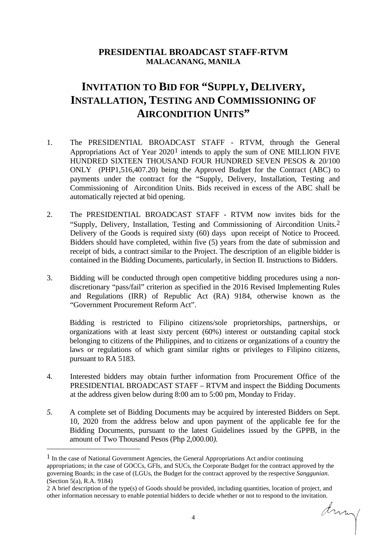## **PRESIDENTIAL BROADCAST STAFF-RTVM MALACANANG, MANILA**

## **INVITATION TO BID FOR "SUPPLY, DELIVERY, INSTALLATION, TESTING AND COMMISSIONING OF AIRCONDITION UNITS"**

- 1. The PRESIDENTIAL BROADCAST STAFF RTVM, through the General Appropriations Act of Year 2020[1](#page-0-0) intends to apply the sum of ONE MILLION FIVE HUNDRED SIXTEEN THOUSAND FOUR HUNDRED SEVEN PESOS & 20/100 ONLY (PHP1,516,407.20) being the Approved Budget for the Contract (ABC) to payments under the contract for the "Supply, Delivery, Installation, Testing and Commissioning of Aircondition Units. Bids received in excess of the ABC shall be automatically rejected at bid opening.
- 2. The PRESIDENTIAL BROADCAST STAFF RTVM now invites bids for the "Supply, Delivery, Installation, Testing and Commissioning of Aircondition Units.[2](#page-0-1) Delivery of the Goods is required sixty (60) days upon receipt of Notice to Proceed. Bidders should have completed, within five (5) years from the date of submission and receipt of bids, a contract similar to the Project. The description of an eligible bidder is contained in the Bidding Documents, particularly, in Section II. Instructions to Bidders.
- 3. Bidding will be conducted through open competitive bidding procedures using a nondiscretionary "pass/fail" criterion as specified in the 2016 Revised Implementing Rules and Regulations (IRR) of Republic Act (RA) 9184, otherwise known as the "Government Procurement Reform Act".

Bidding is restricted to Filipino citizens/sole proprietorships, partnerships, or organizations with at least sixty percent (60%) interest or outstanding capital stock belonging to citizens of the Philippines, and to citizens or organizations of a country the laws or regulations of which grant similar rights or privileges to Filipino citizens, pursuant to RA 5183.

- 4. Interested bidders may obtain further information from Procurement Office of the PRESIDENTIAL BROADCAST STAFF – RTVM and inspect the Bidding Documents at the address given below during 8:00 am to 5:00 pm, Monday to Friday.
- *5.* A complete set of Bidding Documents may be acquired by interested Bidders on Sept. 10, 2020 from the address below and upon payment of the applicable fee for the Bidding Documents, pursuant to the latest Guidelines issued by the GPPB, in the amount of Two Thousand Pesos (Php 2,000.00*).*

dring

<span id="page-0-0"></span> $<sup>1</sup>$  In the case of National Government Agencies, the General Appropriations Act and/or continuing</sup> appropriations; in the case of GOCCs, GFIs, and SUCs, the Corporate Budget for the contract approved by the governing Boards; in the case of (LGUs, the Budget for the contract approved by the respective *Sanggunian*. (Section 5(a), R.A. 9184)

<span id="page-0-1"></span><sup>2</sup> A brief description of the type(s) of Goods should be provided, including quantities, location of project, and other information necessary to enable potential bidders to decide whether or not to respond to the invitation.